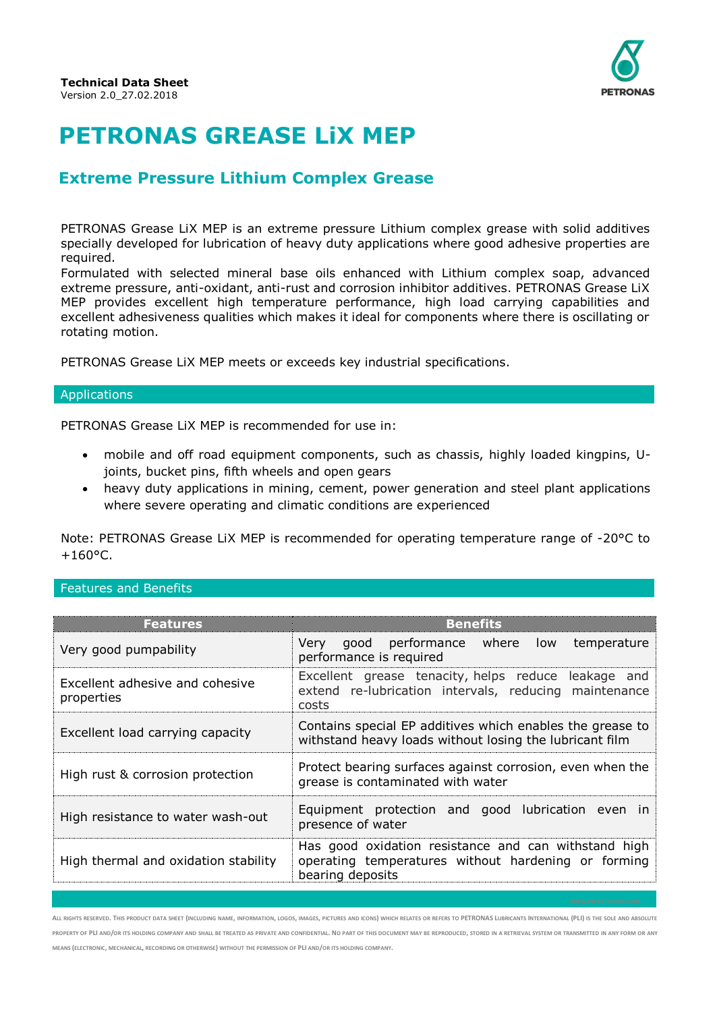

## **PETRONAS GREASE LiX MEP**

### **Extreme Pressure Lithium Complex Grease**

PETRONAS Grease LiX MEP is an extreme pressure Lithium complex grease with solid additives specially developed for lubrication of heavy duty applications where good adhesive properties are required.

Formulated with selected mineral base oils enhanced with Lithium complex soap, advanced extreme pressure, anti-oxidant, anti-rust and corrosion inhibitor additives. PETRONAS Grease LiX MEP provides excellent high temperature performance, high load carrying capabilities and excellent adhesiveness qualities which makes it ideal for components where there is oscillating or rotating motion.

PETRONAS Grease LiX MEP meets or exceeds key industrial specifications.

#### **Applications**

PETRONAS Grease LiX MEP is recommended for use in:

- mobile and off road equipment components, such as chassis, highly loaded kingpins, Ujoints, bucket pins, fifth wheels and open gears
- heavy duty applications in mining, cement, power generation and steel plant applications where severe operating and climatic conditions are experienced

Note: PETRONAS Grease LiX MEP is recommended for operating temperature range of -20°C to  $+160$ °C.

#### Features and Benefits

| <b>Features</b>                               | <b>Benefits</b>                                                                                                                 |  |  |  |
|-----------------------------------------------|---------------------------------------------------------------------------------------------------------------------------------|--|--|--|
| Very good pumpability                         | Very good performance where low temperature<br>performance is required                                                          |  |  |  |
| Excellent adhesive and cohesive<br>properties | Excellent grease tenacity, helps reduce leakage and<br>extend re-lubrication intervals, reducing maintenance<br>costs           |  |  |  |
| Excellent load carrying capacity              | Contains special EP additives which enables the grease to<br>withstand heavy loads without losing the lubricant film            |  |  |  |
| High rust & corrosion protection              | Protect bearing surfaces against corrosion, even when the<br>grease is contaminated with water                                  |  |  |  |
| High resistance to water wash-out             | Equipment protection and good lubrication even in<br>presence of water                                                          |  |  |  |
| High thermal and oxidation stability          | Has good oxidation resistance and can withstand high<br>operating temperatures without hardening or forming<br>bearing deposits |  |  |  |

ALL RIGHTS RESERVED. THIS PRODUCT DATA SHEET (INCLUDING NAME, INFORMATION, LOGOS, IMAGES, PICTURES AND ICONS) WHICH RELATES OR REFERS TO PETRONAS LUBRICANTS INTERNATIONAL (PLI) IS THE SOLE AND ABSOLUTE PROPERTY OF PLI AND/OR ITS HOLDING COMPANY AND SHALL BE TREATED AS PRIVATE AND CONFIDENTIAL. NO PART OF THIS DOCUMENT MAY BE REPRODUCED. STORED IN A RETRIEVAL SYSTEM OR TRANSMITTED IN ANY FORM OR ANY **MEANS (ELECTRONIC, MECHANICAL, RECORDING OR OTHERWISE) WITHOUT THE PERMISSION OF PLI AND/OR ITS HOLDING COMPANY.**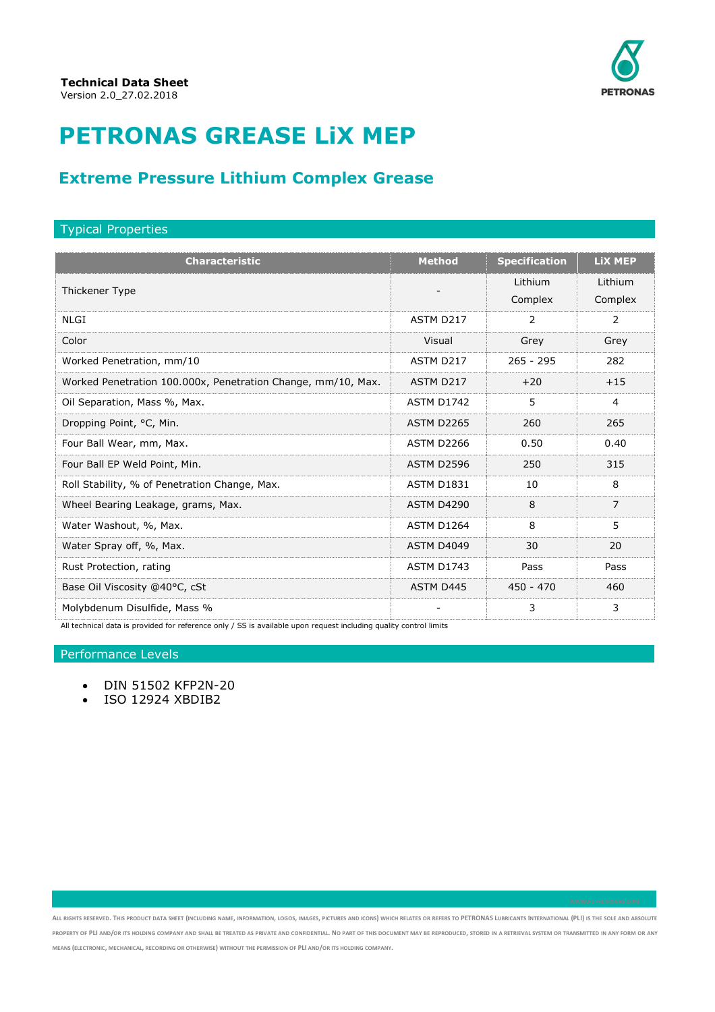

# **PETRONAS GREASE LiX MEP**

## **Extreme Pressure Lithium Complex Grease**

#### Typical Properties

| <b>Characteristic</b>                                        | <b>Method</b>     | <b>Specification</b> | <b>LiX MEP</b> |
|--------------------------------------------------------------|-------------------|----------------------|----------------|
| Thickener Type                                               |                   | Lithium              | Lithium        |
|                                                              |                   | Complex              | Complex        |
| <b>NLGI</b>                                                  | ASTM D217         | 2                    | $\overline{2}$ |
| Color                                                        | Visual            | Grey                 | Grey           |
| Worked Penetration, mm/10                                    | ASTM D217         | $265 - 295$          | 282            |
| Worked Penetration 100.000x, Penetration Change, mm/10, Max. | ASTM D217         | $+20$                | $+15$          |
| Oil Separation, Mass %, Max.                                 | <b>ASTM D1742</b> | 5                    | 4              |
| Dropping Point, °C, Min.                                     | ASTM D2265        | 260                  | 265            |
| Four Ball Wear, mm, Max.                                     | ASTM D2266        | 0.50                 | 0.40           |
| Four Ball EP Weld Point, Min.                                | ASTM D2596        | 250                  | 315            |
| Roll Stability, % of Penetration Change, Max.                | <b>ASTM D1831</b> | 10                   | 8              |
| Wheel Bearing Leakage, grams, Max.                           | <b>ASTM D4290</b> | $\mathbf{8}$         | $\overline{7}$ |
| Water Washout, %, Max.                                       | <b>ASTM D1264</b> | 8                    | 5              |
| Water Spray off, %, Max.                                     | ASTM D4049        | 30                   | 20             |
| Rust Protection, rating                                      | <b>ASTM D1743</b> | Pass                 | Pass           |
| Base Oil Viscosity @40°C, cSt                                | ASTM D445         | $450 - 470$          | 460            |
| Molybdenum Disulfide, Mass %                                 |                   | 3                    | 3              |

All technical data is provided for reference only / SS is available upon request including quality control limits

#### Performance Levels

- DIN 51502 KFP2N-20
- ISO 12924 XBDIB2

ALL RIGHTS RESERVED. THIS PRODUCT DATA SHEET (INCLUDING NAME, INFORMATION, LOGOS, IMAGES, PICTURES AND ICONS) WHICH RELATES OR REFERS TO PETRONAS LUBRICANTS INTERNATIONAL (PLI) IS THE SOLE AND ABSOLUTE PROPERTY OF PLI AND/OR ITS HOLDING COMPANY AND SHALL BE TREATED AS PRIVATE AND CONFIDENTIAL. NO PART OF THIS DOCUMENT MAY BE REPRODUCED, STORED IN A RETRIEVAL SYSTEM OR TRANSMITTED IN ANY FORM OR ANY **MEANS (ELECTRONIC, MECHANICAL, RECORDING OR OTHERWISE) WITHOUT THE PERMISSION OF PLI AND/OR ITS HOLDING COMPANY.**